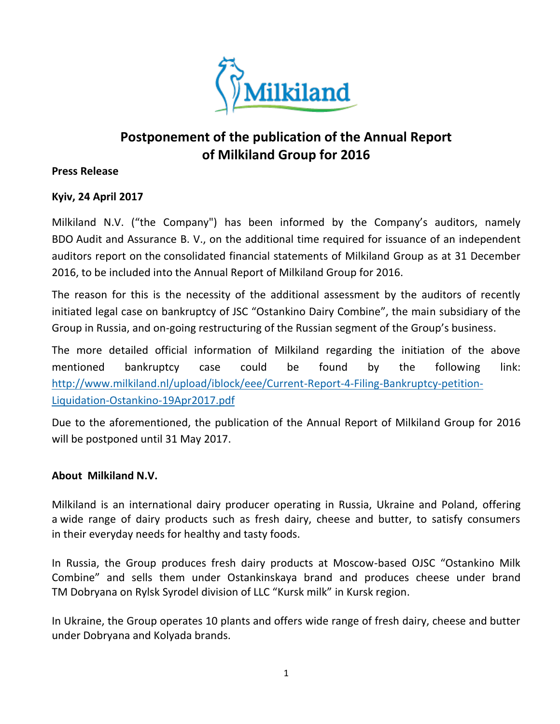

## **Postponement of the publication of the Annual Report of Milkiland Group for 2016**

## **Press Release**

## **Kyiv, 24 April 2017**

Milkiland N.V. ("the Company") has been informed by the Company's auditors, namely BDO Audit and Assurance B. V., on the additional time required for issuance of an independent auditors report on the consolidated financial statements of Milkiland Group as at 31 December 2016, to be included into the Annual Report of Milkiland Group for 2016.

The reason for this is the necessity of the additional assessment by the auditors of recently initiated legal case on bankruptcy of JSC "Ostankino Dairy Combine", the main subsidiary of the Group in Russia, and on-going restructuring of the Russian segment of the Group's business.

The more detailed official information of Milkiland regarding the initiation of the above mentioned bankruptcy case could be found by the following link: [http://www.milkiland.nl/upload/iblock/eee/Current-Report-4-Filing-Bankruptcy-petition-](http://www.milkiland.nl/upload/iblock/eee/Current-Report-4-Filing-Bankruptcy-petition-Liquidation-Ostankino-19Apr2017.pdf)[Liquidation-Ostankino-19Apr2017.pdf](http://www.milkiland.nl/upload/iblock/eee/Current-Report-4-Filing-Bankruptcy-petition-Liquidation-Ostankino-19Apr2017.pdf)

Due to the aforementioned, the publication of the Annual Report of Milkiland Group for 2016 will be postponed until 31 May 2017.

## **About Milkiland N.V.**

Milkiland is an international dairy producer operating in Russia, Ukraine and Poland, offering a wide range of dairy products such as fresh dairy, cheese and butter, to satisfy consumers in their everyday needs for healthy and tasty foods.

In Russia, the Group produces fresh dairy products at Moscow-based OJSC "Ostankino Milk Combine" and sells them under Ostankinskaya brand and produces cheese under brand TM Dobryana on Rylsk Syrodel division of LLC "Kursk milk" in Kursk region.

In Ukraine, the Group operates 10 plants and offers wide range of fresh dairy, cheese and butter under Dobryana and Kolyada brands.